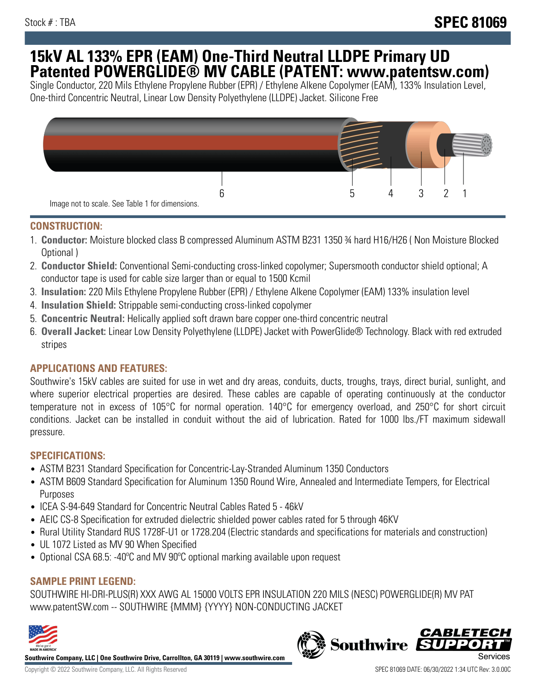## **15kV AL 133% EPR (EAM) One-Third Neutral LLDPE Primary UD Patented POWERGLIDE® MV CABLE (PATENT: www.patentsw.com)**

Single Conductor, 220 Mils Ethylene Propylene Rubber (EPR) / Ethylene Alkene Copolymer (EAM), 133% Insulation Level, One-third Concentric Neutral, Linear Low Density Polyethylene (LLDPE) Jacket. Silicone Free



## **CONSTRUCTION:**

- 1. **Conductor:** Moisture blocked class B compressed Aluminum ASTM B231 1350 ¾ hard H16/H26 ( Non Moisture Blocked Optional )
- 2. **Conductor Shield:** Conventional Semi-conducting cross-linked copolymer; Supersmooth conductor shield optional; A conductor tape is used for cable size larger than or equal to 1500 Kcmil
- 3. **Insulation:** 220 Mils Ethylene Propylene Rubber (EPR) / Ethylene Alkene Copolymer (EAM) 133% insulation level
- 4. **Insulation Shield:** Strippable semi-conducting cross-linked copolymer
- 5. **Concentric Neutral:** Helically applied soft drawn bare copper one-third concentric neutral
- 6. **Overall Jacket:** Linear Low Density Polyethylene (LLDPE) Jacket with PowerGlide® Technology. Black with red extruded stripes

## **APPLICATIONS AND FEATURES:**

Southwire's 15kV cables are suited for use in wet and dry areas, conduits, ducts, troughs, trays, direct burial, sunlight, and where superior electrical properties are desired. These cables are capable of operating continuously at the conductor temperature not in excess of 105°C for normal operation. 140°C for emergency overload, and 250°C for short circuit conditions. Jacket can be installed in conduit without the aid of lubrication. Rated for 1000 lbs./FT maximum sidewall pressure.

### **SPECIFICATIONS:**

- ASTM B231 Standard Specification for Concentric-Lay-Stranded Aluminum 1350 Conductors
- ASTM B609 Standard Specification for Aluminum 1350 Round Wire, Annealed and Intermediate Tempers, for Electrical Purposes
- ICEA S-94-649 Standard for Concentric Neutral Cables Rated 5 46kV
- AEIC CS-8 Specification for extruded dielectric shielded power cables rated for 5 through 46KV
- Rural Utility Standard RUS 1728F-U1 or 1728.204 (Electric standards and specifications for materials and construction)
- UL 1072 Listed as MV 90 When Specified
- Optional CSA 68.5: -40°C and MV 90°C optional marking available upon request

## **SAMPLE PRINT LEGEND:**

SOUTHWIRE HI-DRI-PLUS(R) XXX AWG AL 15000 VOLTS EPR INSULATION 220 MILS (NESC) POWERGLIDE(R) MV PAT www.patentSW.com -- SOUTHWIRE {MMM} {YYYY} NON-CONDUCTING JACKET



**Southwire Company, LLC | One Southwire Drive, Carrollton, GA 30119 | www.southwire.com**